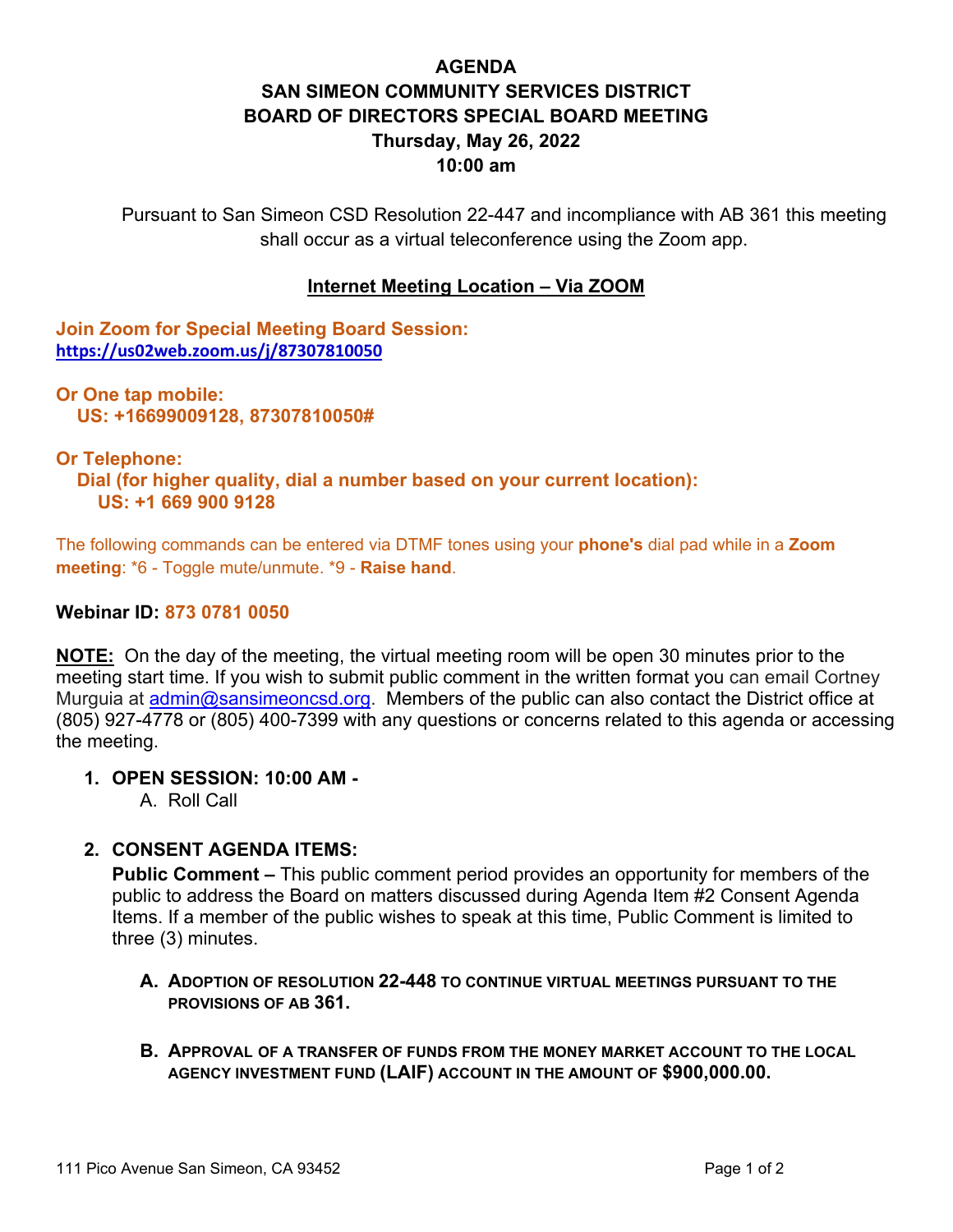# **AGENDA SAN SIMEON COMMUNITY SERVICES DISTRICT BOARD OF DIRECTORS SPECIAL BOARD MEETING Thursday, May 26, 2022 10:00 am**

Pursuant to San Simeon CSD Resolution 22-447 and incompliance with AB 361 this meeting shall occur as a virtual teleconference using the Zoom app.

#### **Internet Meeting Location – Via ZOOM**

**Join Zoom for Special Meeting Board Session: <https://us02web.zoom.us/j/87307810050>**

**Or One tap mobile: US: +16699009128, 87307810050#** 

#### **Or Telephone:**

 **Dial (for higher quality, dial a number based on your current location): US: +1 669 900 9128** 

The following commands can be entered via DTMF tones using your **phone's** dial pad while in a **Zoom meeting**: \*6 - Toggle mute/unmute. \*9 - **Raise hand**.

#### **Webinar ID: 873 0781 0050**

**NOTE:** On the day of the meeting, the virtual meeting room will be open 30 minutes prior to the meeting start time. If you wish to submit public comment in the written format you can email Cortney Murguia at [admin@sansimeoncsd.org.](mailto:admin@sansimeoncsd.org) Members of the public can also contact the District office at (805) 927-4778 or (805) 400-7399 with any questions or concerns related to this agenda or accessing the meeting.

#### **1. OPEN SESSION: 10:00 AM -**

A. Roll Call

#### **2. CONSENT AGENDA ITEMS:**

**Public Comment –** This public comment period provides an opportunity for members of the public to address the Board on matters discussed during Agenda Item #2 Consent Agenda Items. If a member of the public wishes to speak at this time, Public Comment is limited to three (3) minutes.

- **A. ADOPTION OF RESOLUTION 22-448 TO CONTINUE VIRTUAL MEETINGS PURSUANT TO THE PROVISIONS OF AB 361.**
- **B. APPROVAL OF A TRANSFER OF FUNDS FROM THE MONEY MARKET ACCOUNT TO THE LOCAL AGENCY INVESTMENT FUND (LAIF) ACCOUNT IN THE AMOUNT OF \$900,000.00.**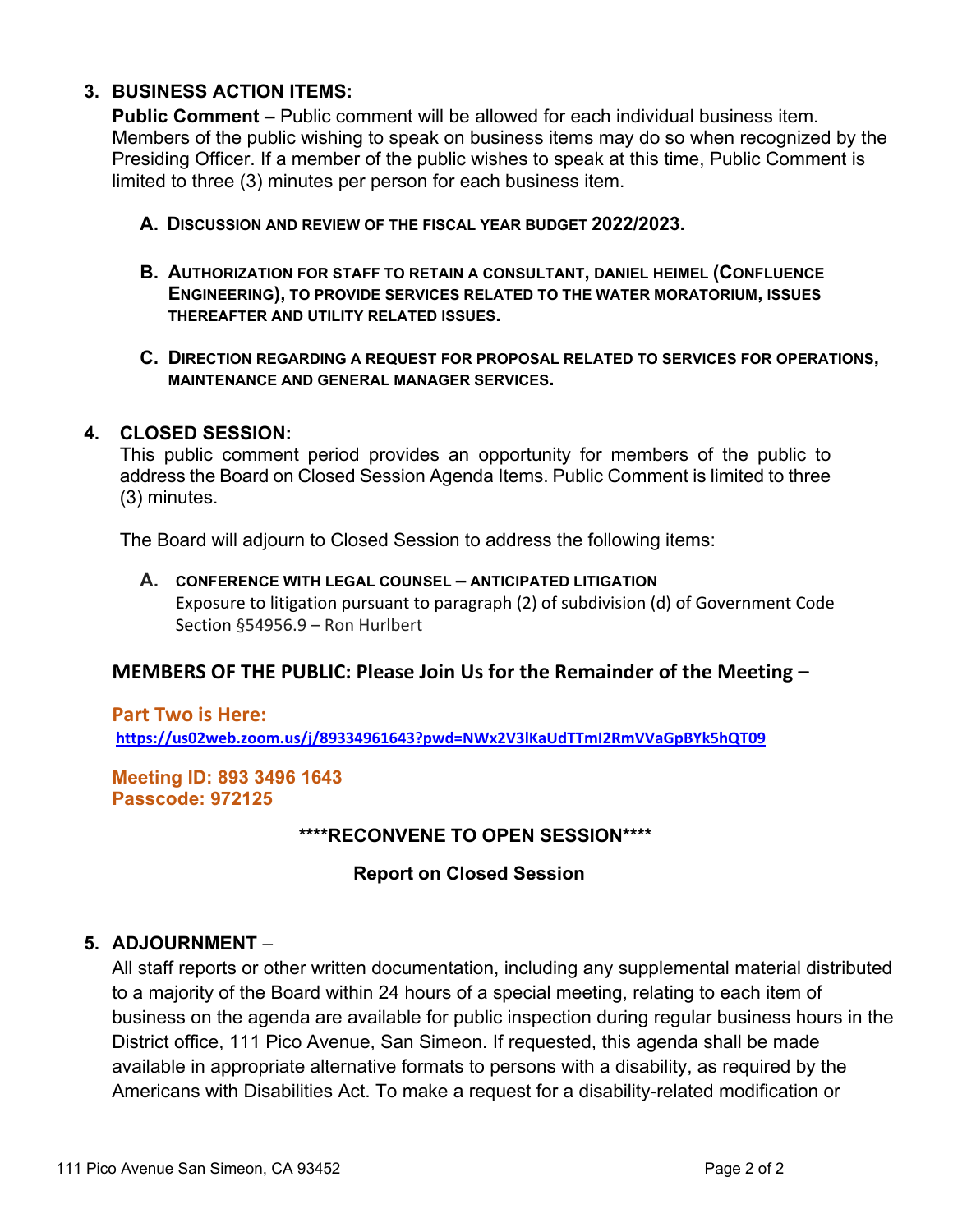### **3. BUSINESS ACTION ITEMS:**

**Public Comment –** Public comment will be allowed for each individual business item. Members of the public wishing to speak on business items may do so when recognized by the Presiding Officer. If a member of the public wishes to speak at this time, Public Comment is limited to three (3) minutes per person for each business item.

- **A. DISCUSSION AND REVIEW OF THE FISCAL YEAR BUDGET 2022/2023.**
- **B. AUTHORIZATION FOR STAFF TO RETAIN A CONSULTANT, DANIEL HEIMEL (CONFLUENCE ENGINEERING), TO PROVIDE SERVICES RELATED TO THE WATER MORATORIUM, ISSUES THEREAFTER AND UTILITY RELATED ISSUES.**
- **C. DIRECTION REGARDING A REQUEST FOR PROPOSAL RELATED TO SERVICES FOR OPERATIONS, MAINTENANCE AND GENERAL MANAGER SERVICES.**

#### **4. CLOSED SESSION:**

This public comment period provides an opportunity for members of the public to address the Board on Closed Session Agenda Items. Public Comment is limited to three (3) minutes.

The Board will adjourn to Closed Session to address the following items:

### **A. CONFERENCE WITH LEGAL COUNSEL – ANTICIPATED LITIGATION** Exposure to litigation pursuant to paragraph (2) of subdivision (d) of Government Code Section §54956.9 – Ron Hurlbert

## **MEMBERS OF THE PUBLIC: Please Join Us for the Remainder of the Meeting –**

**Part Two is Here: <https://us02web.zoom.us/j/89334961643?pwd=NWx2V3lKaUdTTmI2RmVVaGpBYk5hQT09>**

**Meeting ID: 893 3496 1643 Passcode: 972125**

#### **\*\*\*\*RECONVENE TO OPEN SESSION\*\*\*\***

#### **Report on Closed Session**

#### **5. ADJOURNMENT** –

All staff reports or other written documentation, including any supplemental material distributed to a majority of the Board within 24 hours of a special meeting, relating to each item of business on the agenda are available for public inspection during regular business hours in the District office, 111 Pico Avenue, San Simeon. If requested, this agenda shall be made available in appropriate alternative formats to persons with a disability, as required by the Americans with Disabilities Act. To make a request for a disability-related modification or